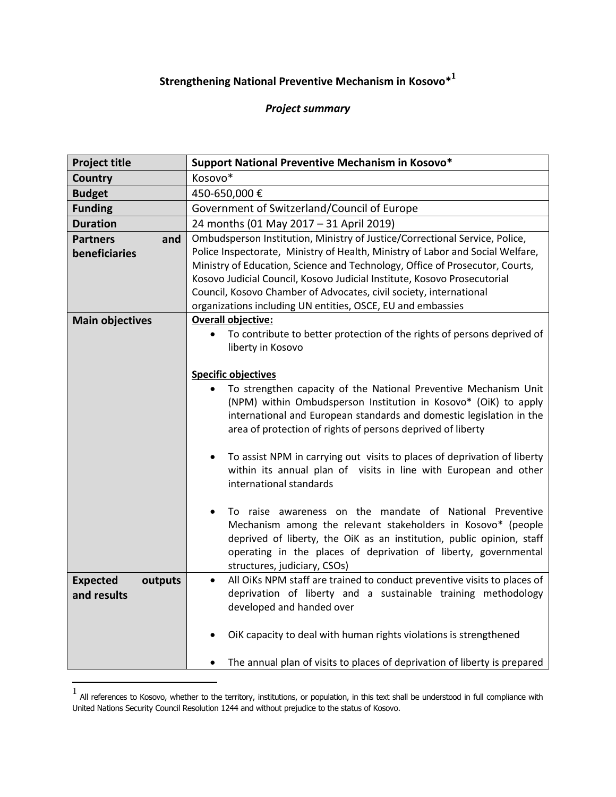## **Strengthening National Preventive Mechanism in Kosovo\* 1**

## *Project summary*

| <b>Project title</b>       | Support National Preventive Mechanism in Kosovo*                                                                                      |  |  |
|----------------------------|---------------------------------------------------------------------------------------------------------------------------------------|--|--|
| Country                    | Kosovo*                                                                                                                               |  |  |
| <b>Budget</b>              | 450-650,000€                                                                                                                          |  |  |
| <b>Funding</b>             | Government of Switzerland/Council of Europe                                                                                           |  |  |
| <b>Duration</b>            | 24 months (01 May 2017 - 31 April 2019)                                                                                               |  |  |
| <b>Partners</b><br>and     | Ombudsperson Institution, Ministry of Justice/Correctional Service, Police,                                                           |  |  |
| beneficiaries              | Police Inspectorate, Ministry of Health, Ministry of Labor and Social Welfare,                                                        |  |  |
|                            | Ministry of Education, Science and Technology, Office of Prosecutor, Courts,                                                          |  |  |
|                            | Kosovo Judicial Council, Kosovo Judicial Institute, Kosovo Prosecutorial                                                              |  |  |
|                            | Council, Kosovo Chamber of Advocates, civil society, international                                                                    |  |  |
|                            | organizations including UN entities, OSCE, EU and embassies                                                                           |  |  |
| <b>Main objectives</b>     | <b>Overall objective:</b>                                                                                                             |  |  |
|                            | To contribute to better protection of the rights of persons deprived of<br>$\bullet$<br>liberty in Kosovo                             |  |  |
|                            |                                                                                                                                       |  |  |
|                            | <b>Specific objectives</b>                                                                                                            |  |  |
|                            | To strengthen capacity of the National Preventive Mechanism Unit                                                                      |  |  |
|                            | (NPM) within Ombudsperson Institution in Kosovo* (OiK) to apply                                                                       |  |  |
|                            | international and European standards and domestic legislation in the                                                                  |  |  |
|                            | area of protection of rights of persons deprived of liberty                                                                           |  |  |
|                            |                                                                                                                                       |  |  |
|                            | To assist NPM in carrying out visits to places of deprivation of liberty<br>$\bullet$                                                 |  |  |
|                            | within its annual plan of visits in line with European and other                                                                      |  |  |
|                            | international standards                                                                                                               |  |  |
|                            |                                                                                                                                       |  |  |
|                            | To raise awareness on the mandate of National Preventive<br>$\bullet$                                                                 |  |  |
|                            | Mechanism among the relevant stakeholders in Kosovo* (people<br>deprived of liberty, the OiK as an institution, public opinion, staff |  |  |
|                            | operating in the places of deprivation of liberty, governmental                                                                       |  |  |
|                            | structures, judiciary, CSOs)                                                                                                          |  |  |
| <b>Expected</b><br>outputs | All OiKs NPM staff are trained to conduct preventive visits to places of<br>$\bullet$                                                 |  |  |
| and results                | deprivation of liberty and a sustainable training methodology                                                                         |  |  |
|                            | developed and handed over                                                                                                             |  |  |
|                            |                                                                                                                                       |  |  |
|                            | OiK capacity to deal with human rights violations is strengthened                                                                     |  |  |
|                            |                                                                                                                                       |  |  |
|                            | The annual plan of visits to places of deprivation of liberty is prepared                                                             |  |  |
|                            |                                                                                                                                       |  |  |

<sup>1</sup> All references to Kosovo, whether to the territory, institutions, or population, in this text shall be understood in full compliance with United Nations Security Council Resolution 1244 and without prejudice to the status of Kosovo.